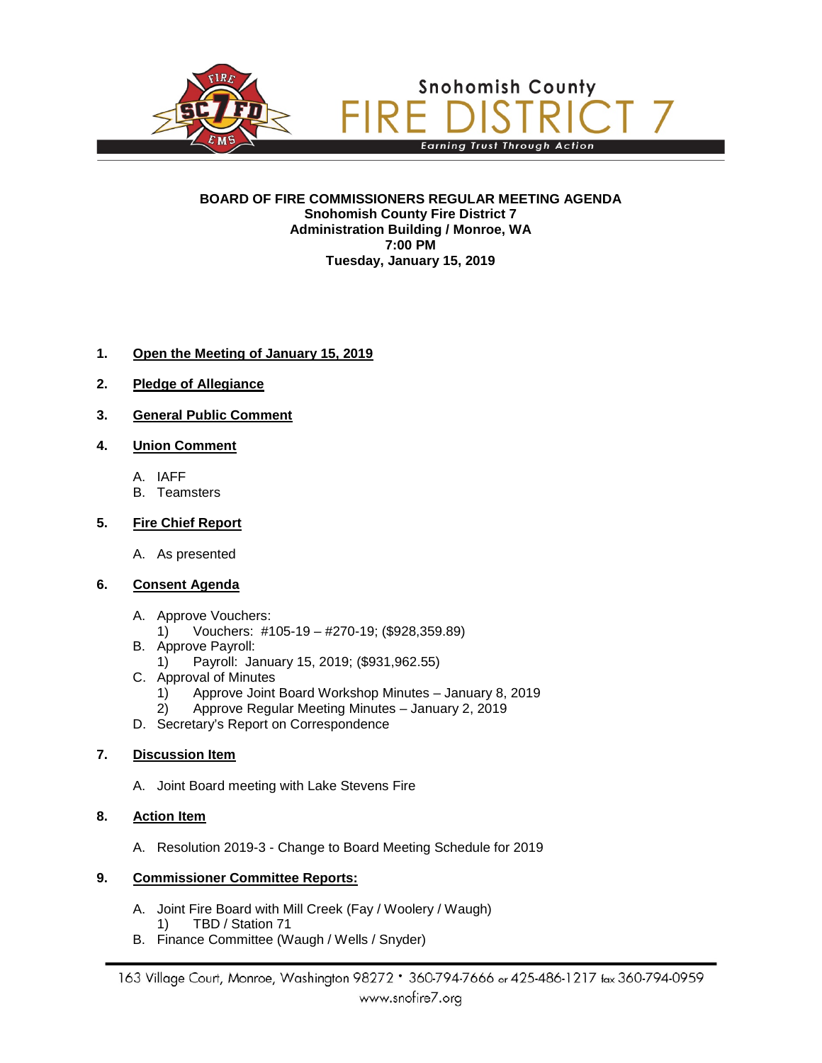

**BOARD OF FIRE COMMISSIONERS REGULAR MEETING AGENDA Snohomish County Fire District 7 Administration Building / Monroe, WA 7:00 PM Tuesday, January 15, 2019**

# **1. Open the Meeting of January 15, 2019**

- **2. Pledge of Allegiance**
- **3. General Public Comment**

### **4. Union Comment**

- A. IAFF
- B. Teamsters

### **5. Fire Chief Report**

A. As presented

# **6. Consent Agenda**

- A. Approve Vouchers:
	- 1) Vouchers: #105-19 #270-19; (\$928,359.89)
- B. Approve Payroll:
	- 1) Payroll: January 15, 2019; (\$931,962.55)
- C. Approval of Minutes
	- 1) Approve Joint Board Workshop Minutes January 8, 2019
	- 2) Approve Regular Meeting Minutes January 2, 2019
- D. Secretary's Report on Correspondence

### **7. Discussion Item**

A. Joint Board meeting with Lake Stevens Fire

# **8. Action Item**

A. Resolution 2019-3 - Change to Board Meeting Schedule for 2019

#### **9. Commissioner Committee Reports:**

- A. Joint Fire Board with Mill Creek (Fay / Woolery / Waugh) 1) TBD / Station 71
- B. Finance Committee (Waugh / Wells / Snyder)